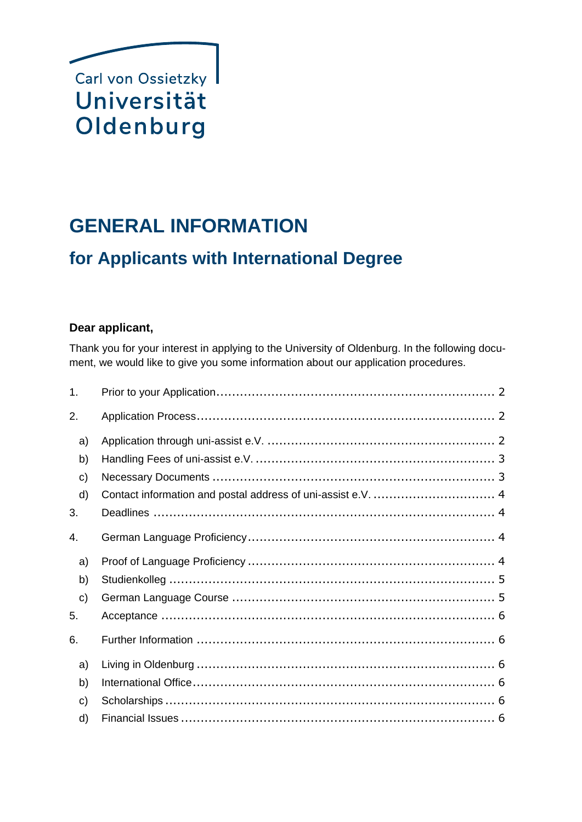

# **GENERAL INFORMATION**

## **for Applicants with International Degree**

### **Dear applicant,**

Thank you for your interest in applying to the University of Oldenburg. In the following document, we would like to give you some information about our application procedures.

| 1.           |  |
|--------------|--|
| 2.           |  |
| a)           |  |
| b)           |  |
| c)           |  |
| d)           |  |
| 3.           |  |
| 4.           |  |
| a)           |  |
| b)           |  |
| $\mathbf{c}$ |  |
| 5.           |  |
| 6.           |  |
| a)           |  |
| b)           |  |
| C)           |  |
| d)           |  |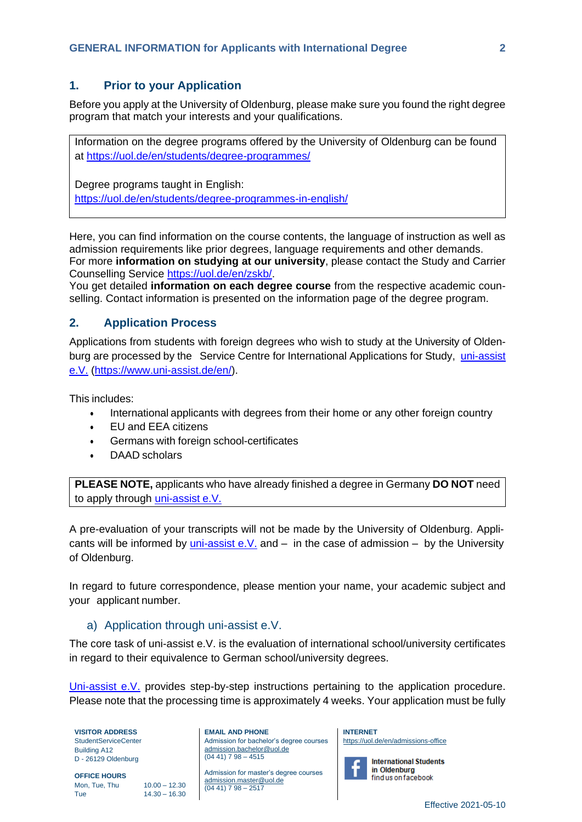#### <span id="page-1-0"></span>**1. Prior to your Application**

Before you apply at the University of Oldenburg, please make sure you found the right degree program that match your interests and your qualifications.

Information on the degree programs offered by the University of Oldenburg can be found at<https://uol.de/en/students/degree-programmes/>

Degree programs taught in English: <https://uol.de/en/students/degree-programmes-in-english/>

Here, you can find information on the course contents, the language of instruction as well as admission requirements like prior degrees, language requirements and other demands. For more **information on studying at our university**, please contact the Study and Carrier Counselling Service [https://uol.de/en/zskb/.](https://uol.de/en/zskb/)

You get detailed **information on each degree course** from the respective academic counselling. Contact information is presented on the information page of the degree program.

#### <span id="page-1-1"></span>**2. Application Process**

Applications from students with foreign degrees who wish to study at the University of Oldenburg are processed by the Service Centre for International Applications for Study, [uni-assist](http://www.uni-assist.de/index_en.html) [e.V.](http://www.uni-assist.de/index_en.html) [\(https://www.uni-assist.de/en/\)](https://www.uni-assist.de/en/).

This includes:

- International applicants with degrees from their home or any other foreign country
- EU and EEA citizens
- Germans with foreign school-certificates
- DAAD scholars

**PLEASE NOTE,** applicants who have already finished a degree in Germany **DO NOT** need to apply through [uni-assist](http://www.uni-assist.de/index_en.html) e.V.

A pre-evaluation of your transcripts will not be made by the University of Oldenburg. Applicants will be informed by  $uni-assist e.V.$  $uni-assist e.V.$  and  $-$  in the case of admission  $-$  by the University of Oldenburg.

In regard to future correspondence, please mention your name, your academic subject and your applicant number.

#### <span id="page-1-2"></span>a) Application through uni-assist e.V.

The core task of uni-assist e.V. is the evaluation of international school/university certificates in regard to their equivalence to German school/university degrees.

[Uni-assist](http://www.uni-assist.de/index_en.html) e.V. provides step-by-step instructions pertaining to the application procedure. Please note that the processing time is approximately 4 weeks. Your application must be fully

**VISITOR ADDRESS** StudentServiceCenter Building A12 D - 26129 Oldenburg

**OFFICE HOURS** Mon, Tue, Thu 10.00 - 12.30 Tue 14.30 – 16.30 **EMAIL AND PHONE** Admission for bachelor's degree courses [admission.bachelor@uol.de](mailto:admission.bachelor@uol.de)  $(04 41) 7 98 - 4515$ 

Admission for master's degree courses [admission.master@uol.de](mailto:admission.master@uol.de)  $(0441)$  7 98 – 2517

**INTERNET** <https://uol.de/en/admissions-office>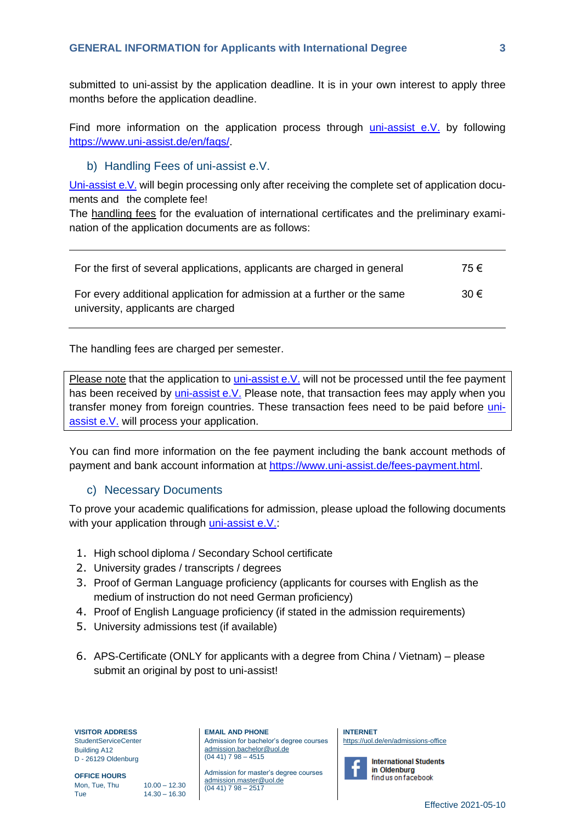submitted to uni-assist by the application deadline. It is in your own interest to apply three months before the application deadline.

Find more information on the application process through [uni-assist](http://www.uni-assist.de/index_en.html) e.V. by following [https://www.uni-assist.de/en/faqs/.](https://www.uni-assist.de/en/faqs/)

#### <span id="page-2-0"></span>b) Handling Fees of uni-assist e.V.

[Uni-assist](http://www.uni-assist.de/index_en.html) e.V. will begin processing only after receiving the complete set of application documents and the complete fee!

The handling fees for the evaluation of international certificates and the preliminary examination of the application documents are as follows:

| For the first of several applications, applicants are charged in general                                      | 75€      |
|---------------------------------------------------------------------------------------------------------------|----------|
| For every additional application for admission at a further or the same<br>university, applicants are charged | $30 \in$ |

The handling fees are charged per semester.

Please note that the application to [uni-assist](http://www.uni-assist.de/index_en.html) e.V. will not be processed until the fee payment has been received by [uni-assist](http://www.uni-assist.de/index_en.html) e.V. Please note, that transaction fees may apply when you transfer money from foreign countries. These transaction fees need to be paid before [uni](http://www.uni-assist.de/index_en.html)[assist e.V.](http://www.uni-assist.de/index_en.html) will process your application.

You can find more information on the fee payment including the bank account methods of payment and bank account information at [https://www.uni-assist.de/fees-payment.html.](https://www.uni-assist.de/fees-payment.html)

#### <span id="page-2-1"></span>c) Necessary Documents

To prove your academic qualifications for admission, please upload the following documents with your application through [uni-assist e.V.:](http://www.uni-assist.de/index_en.html)

- 1. High school diploma / Secondary School certificate
- 2. University grades / transcripts / degrees
- 3. Proof of German Language proficiency (applicants for courses with English as the medium of instruction do not need German proficiency)
- 4. Proof of English Language proficiency (if stated in the admission requirements)
- 5. University admissions test (if available)
- 6. APS-Certificate (ONLY for applicants with a degree from China / Vietnam) please submit an original by post to uni-assist!

**VISITOR ADDRESS** StudentServiceCenter Building A12 D - 26129 Oldenburg

**OFFICE HOURS** Mon, Tue, Thu 10.00 - 12.30 Tue 14.30 – 16.30 **EMAIL AND PHONE** Admission for bachelor's degree courses [admission.bachelor@uol.de](mailto:admission.bachelor@uol.de)  $(04 41) 7 98 - 4515$ 

Admission for master's degree courses [admission.master@uol.de](mailto:admission.master@uol.de)  $(0441)$  7 98 – 2517

**INTERNET** <https://uol.de/en/admissions-office>

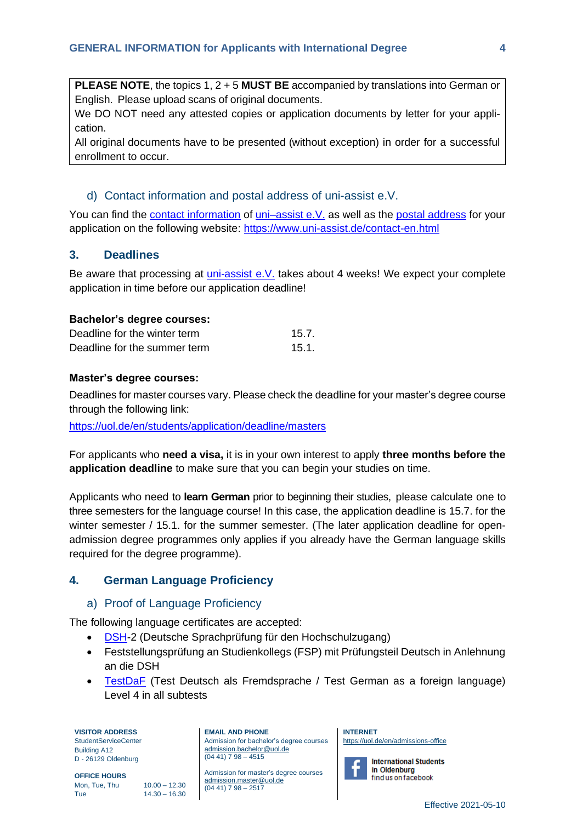**PLEASE NOTE**, the topics 1, 2 + 5 **MUST BE** accompanied by translations into German or English. Please upload scans of original documents.

We DO NOT need any attested copies or application documents by letter for your application.

All original documents have to be presented (without exception) in order for a successful enrollment to occur.

#### <span id="page-3-0"></span>d) Contact information and postal address of uni-assist e.V.

You can find the [contact information](http://www.uni-assist.de/contact-en.html) of uni-assist e.V. as well as the [postal address](http://www.uni-assist.de/contact-en.html) for your application on the following website:<https://www.uni-assist.de/contact-en.html>

#### <span id="page-3-1"></span>**3. Deadlines**

Be aware that processing at [uni-assist e.V.](http://www.uni-assist.de/index_en.html) takes about 4 weeks! We expect your complete application in time before our application deadline!

#### **Bachelor's degree courses:**

| Deadline for the winter term | 15.7. |
|------------------------------|-------|
| Deadline for the summer term | 15.1. |

#### **Master's degree courses:**

Deadlines for master courses vary. Please check the deadline for your master's degree course through the following link:

<https://uol.de/en/students/application/deadline/masters>

For applicants who **need a visa,** it is in your own interest to apply **three months before the application deadline** to make sure that you can begin your studies on time.

Applicants who need to **learn German** prior to beginning their studies, please calculate one to three semesters for the language course! In this case, the application deadline is 15.7. for the winter semester / 15.1. for the summer semester. (The later application deadline for openadmission degree programmes only applies if you already have the German language skills required for the degree programme).

#### <span id="page-3-3"></span><span id="page-3-2"></span>**4. German Language Proficiency**

#### a) Proof of Language Proficiency

The following language certificates are accepted:

- [DSH-](http://dsh.de/dsh-eng)2 (Deutsche Sprachprüfung für den Hochschulzugang)
- Feststellungsprüfung an Studienkollegs (FSP) mit Prüfungsteil Deutsch in Anlehnung an die DSH
- [TestDaF](https://www.testdaf.de/) (Test Deutsch als Fremdsprache / Test German as a foreign language) Level 4 in all subtests

**VISITOR ADDRESS** StudentServiceCenter

Building A12 D - 26129 Oldenburg

**OFFICE HOURS** Mon, Tue, Thu 10.00 - 12.30 Tue 14.30 – 16.30

**EMAIL AND PHONE**

Admission for bachelor's degree courses [admission.bachelor@uol.de](mailto:admission.bachelor@uol.de)  $(04 41) 7 98 - 4515$ 

Admission for master's degree courses [admission.master@uol.de](mailto:admission.master@uol.de)  $(0441)$  7 98 – 2517

**INTERNET** <https://uol.de/en/admissions-office>



**International Students** find us on facebook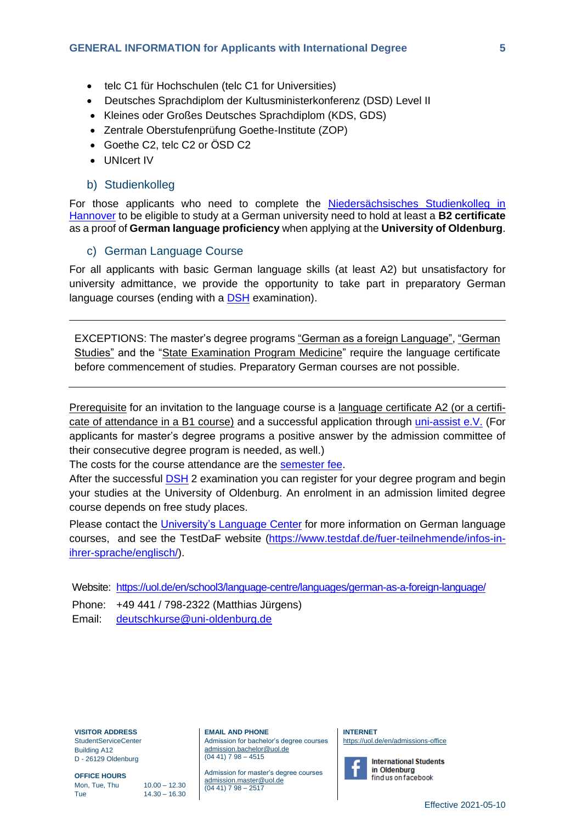- telc C1 für Hochschulen (telc C1 for Universities)
- Deutsches Sprachdiplom der Kultusministerkonferenz (DSD) Level II
- Kleines oder Großes Deutsches Sprachdiplom (KDS, GDS)
- Zentrale Oberstufenprüfung Goethe-Institute (ZOP)
- Goethe C2, telc C2 or  $\ddot{\mathrm{O}}$ SD C2
- UNIcert IV

#### <span id="page-4-0"></span>b) Studienkolleg

For those applicants who need to complete the Niedersächsisches Studienkolleg in [Hannover](https://www.stk.uni-hannover.de/stk.html?&L=1) to be eligible to study at a German university need to hold at least a **B2 certificate** as a proof of **German language proficiency** when applying at the **University of Oldenburg**.

#### <span id="page-4-1"></span>c) German Language Course

For all applicants with basic German language skills (at least A2) but unsatisfactory for university admittance, we provide the opportunity to take part in preparatory German language courses (ending with a [DSH](http://dsh.de/dsh-eng) examination).

EXCEPTIONS: The master's degree programs "German as a foreign Language", "German Studies" and the "State Examination Program Medicine" require the language certificate before commencement of studies. Preparatory German courses are not possible.

Prerequisite for an invitation to the language course is a language certificate A2 (or a certificate of attendance in a B1 course) and a successful application through [uni-assist](http://www.uni-assist.de/index_en.html) e.V. (For applicants for master's degree programs a positive answer by the admission committee of their consecutive degree program is needed, as well.)

The costs for the course attendance are the [semester](https://uol.de/en/students/fees/semester-contribution) fee.

After the successful [DSH](http://dsh.de/dsh-eng) 2 examination you can register for your degree program and begin your studies at the University of Oldenburg. An enrolment in an admission limited degree course depends on free study places.

Please contact the *[University's](https://uol.de/en/school3/language-centre/) Language Center* for more information on German language courses, and see the TestDaF website [\(https://www.testdaf.de/fuer-teilnehmende/infos-in](https://www.testdaf.de/fuer-teilnehmende/infos-in-ihrer-sprache/englisch/)[ihrer-sprache/englisch/\)](https://www.testdaf.de/fuer-teilnehmende/infos-in-ihrer-sprache/englisch/).

Website: <https://uol.de/en/school3/language-centre/languages/german-as-a-foreign-language/> Phone: +49 441 / 798-2322 (Matthias Jürgens) Email: [deutschkurse@uni-oldenburg.de](mailto:deutschkurse@uni-oldenburg.de)

**VISITOR ADDRESS**

StudentServiceCenter Building A12 D - 26129 Oldenburg

**OFFICE HOURS** Mon, Tue, Thu 10.00 - 12.30 Tue 14.30 – 16.30

**EMAIL AND PHONE** Admission for bachelor's degree courses [admission.bachelor@uol.de](mailto:admission.bachelor@uol.de)  $(04 41) 7 98 - 4515$ 

Admission for master's degree courses [admission.master@uol.de](mailto:admission.master@uol.de)  $(0441)$  7 98 – 2517

**INTERNET** <https://uol.de/en/admissions-office>